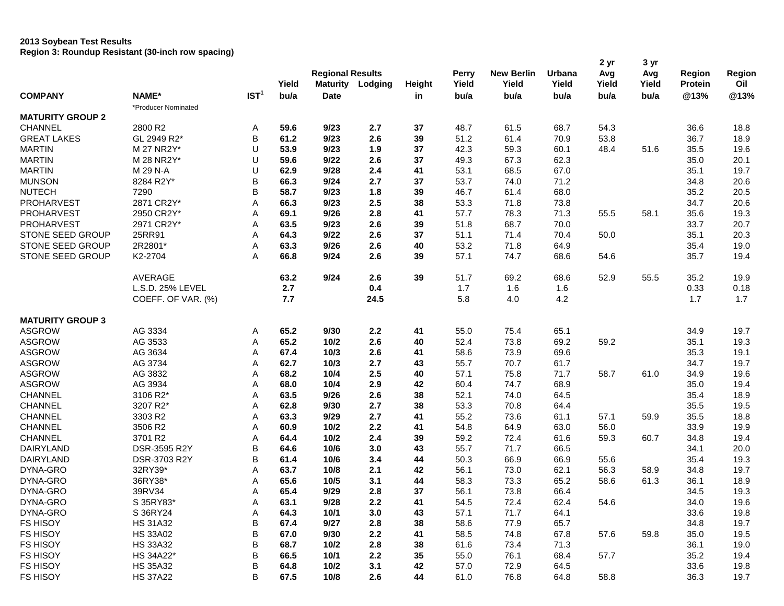| Region 3: Roundup Resistant (30-inch row spacing) |
|---------------------------------------------------|
|                                                   |

|                         |                     |                  |       | <b>Regional Results</b> |         |               | <b>Perry</b> | <b>New Berlin</b> | Urbana | 2 yr<br>Avg | 3 yr<br>Avg | <b>Region</b>  | Region |
|-------------------------|---------------------|------------------|-------|-------------------------|---------|---------------|--------------|-------------------|--------|-------------|-------------|----------------|--------|
|                         |                     |                  | Yield | <b>Maturity</b>         | Lodging | <b>Height</b> | Yield        | Yield             | Yield  | Yield       | Yield       | <b>Protein</b> | Oil    |
| <b>COMPANY</b>          | NAME*               | IST <sup>1</sup> | bu/a  | <b>Date</b>             |         | in            | bu/a         | bu/a              | bu/a   | bu/a        | bu/a        | @13%           | @13%   |
|                         | *Producer Nominated |                  |       |                         |         |               |              |                   |        |             |             |                |        |
| <b>MATURITY GROUP 2</b> |                     |                  |       |                         |         |               |              |                   |        |             |             |                |        |
| CHANNEL                 | 2800 R2             | Α                | 59.6  | 9/23                    | 2.7     | 37            | 48.7         | 61.5              | 68.7   | 54.3        |             | 36.6           | 18.8   |
| <b>GREAT LAKES</b>      | GL 2949 R2*         | B                | 61.2  | 9/23                    | 2.6     | 39            | 51.2         | 61.4              | 70.9   | 53.8        |             | 36.7           | 18.9   |
| <b>MARTIN</b>           | M 27 NR2Y*          | U                | 53.9  | 9/23                    | 1.9     | 37            | 42.3         | 59.3              | 60.1   | 48.4        | 51.6        | 35.5           | 19.6   |
| <b>MARTIN</b>           | M 28 NR2Y*          | U                | 59.6  | 9/22                    | 2.6     | 37            | 49.3         | 67.3              | 62.3   |             |             | 35.0           | 20.1   |
| <b>MARTIN</b>           | M 29 N-A            | U                | 62.9  | 9/28                    | 2.4     | 41            | 53.1         | 68.5              | 67.0   |             |             | 35.1           | 19.7   |
| <b>MUNSON</b>           | 8284 R2Y*           | В                | 66.3  | 9/24                    | 2.7     | 37            | 53.7         | 74.0              | 71.2   |             |             | 34.8           | 20.6   |
| <b>NUTECH</b>           | 7290                | В                | 58.7  | 9/23                    | 1.8     | 39            | 46.7         | 61.4              | 68.0   |             |             | 35.2           | 20.5   |
| PROHARVEST              | 2871 CR2Y*          | Α                | 66.3  | 9/23                    | 2.5     | 38            | 53.3         | 71.8              | 73.8   |             |             | 34.7           | 20.6   |
| PROHARVEST              | 2950 CR2Y*          | Α                | 69.1  | 9/26                    | 2.8     | 41            | 57.7         | 78.3              | 71.3   | 55.5        | 58.1        | 35.6           | 19.3   |
| PROHARVEST              | 2971 CR2Y*          | А                | 63.5  | 9/23                    | 2.6     | 39            | 51.8         | 68.7              | 70.0   |             |             | 33.7           | 20.7   |
| STONE SEED GROUP        | 25RR91              | Α                | 64.3  | 9/22                    | 2.6     | 37            | 51.1         | 71.4              | 70.4   | 50.0        |             | 35.1           | 20.3   |
| STONE SEED GROUP        | 2R2801*             | Α                | 63.3  | 9/26                    | 2.6     | 40            | 53.2         | 71.8              | 64.9   |             |             | 35.4           | 19.0   |
| STONE SEED GROUP        | K2-2704             | Α                | 66.8  | 9/24                    | 2.6     | 39            | 57.1         | 74.7              | 68.6   | 54.6        |             | 35.7           | 19.4   |
|                         | <b>AVERAGE</b>      |                  | 63.2  | 9/24                    | 2.6     | 39            | 51.7         | 69.2              | 68.6   | 52.9        | 55.5        | 35.2           | 19.9   |
|                         | L.S.D. 25% LEVEL    |                  | 2.7   |                         | 0.4     |               | 1.7          | 1.6               | 1.6    |             |             | 0.33           | 0.18   |
|                         | COEFF. OF VAR. (%)  |                  | 7.7   |                         | 24.5    |               | 5.8          | 4.0               | 4.2    |             |             | 1.7            | 1.7    |
| <b>MATURITY GROUP 3</b> |                     |                  |       |                         |         |               |              |                   |        |             |             |                |        |
| <b>ASGROW</b>           | AG 3334             | Α                | 65.2  | 9/30                    | 2.2     | 41            | 55.0         | 75.4              | 65.1   |             |             | 34.9           | 19.7   |
| <b>ASGROW</b>           | AG 3533             | Α                | 65.2  | 10/2                    | 2.6     | 40            | 52.4         | 73.8              | 69.2   | 59.2        |             | 35.1           | 19.3   |
| <b>ASGROW</b>           | AG 3634             | Α                | 67.4  | 10/3                    | 2.6     | 41            | 58.6         | 73.9              | 69.6   |             |             | 35.3           | 19.1   |
| <b>ASGROW</b>           | AG 3734             | Α                | 62.7  | 10/3                    | 2.7     | 43            | 55.7         | 70.7              | 61.7   |             |             | 34.7           | 19.7   |
| <b>ASGROW</b>           | AG 3832             | Α                | 68.2  | 10/4                    | 2.5     | 40            | 57.1         | 75.8              | 71.7   | 58.7        | 61.0        | 34.9           | 19.6   |
| <b>ASGROW</b>           | AG 3934             | Α                | 68.0  | 10/4                    | 2.9     | 42            | 60.4         | 74.7              | 68.9   |             |             | 35.0           | 19.4   |
| CHANNEL                 | 3106 R2*            | Α                | 63.5  | 9/26                    | 2.6     | 38            | 52.1         | 74.0              | 64.5   |             |             | 35.4           | 18.9   |
| CHANNEL                 | 3207 R2*            | Α                | 62.8  | 9/30                    | 2.7     | 38            | 53.3         | 70.8              | 64.4   |             |             | 35.5           | 19.5   |
| CHANNEL                 | 3303 R2             | Α                | 63.3  | 9/29                    | 2.7     | 41            | 55.2         | 73.6              | 61.1   | 57.1        | 59.9        | 35.5           | 18.8   |
| <b>CHANNEL</b>          | 3506 R2             | Α                | 60.9  | 10/2                    | 2.2     | 41            | 54.8         | 64.9              | 63.0   | 56.0        |             | 33.9           | 19.9   |
| CHANNEL                 | 3701 R2             | A                | 64.4  | 10/2                    | 2.4     | 39            | 59.2         | 72.4              | 61.6   | 59.3        | 60.7        | 34.8           | 19.4   |
| DAIRYLAND               | DSR-3595 R2Y        | B                | 64.6  | 10/6                    | 3.0     | 43            | 55.7         | 71.7              | 66.5   |             |             | 34.1           | 20.0   |
| DAIRYLAND               | DSR-3703 R2Y        | B                | 61.4  | 10/6                    | 3.4     | 44            | 50.3         | 66.9              | 66.9   | 55.6        |             | 35.4           | 19.3   |
| DYNA-GRO                | 32RY39*             | Α                | 63.7  | 10/8                    | 2.1     | 42            | 56.1         | 73.0              | 62.1   | 56.3        | 58.9        | 34.8           | 19.7   |
| DYNA-GRO                | 36RY38*             | Α                | 65.6  | 10/5                    | 3.1     | 44            | 58.3         | 73.3              | 65.2   | 58.6        | 61.3        | 36.1           | 18.9   |
| DYNA-GRO                | 39RV34              | Α                | 65.4  | 9/29                    | 2.8     | 37            | 56.1         | 73.8              | 66.4   |             |             | 34.5           | 19.3   |
| DYNA-GRO                | S 35RY83*           | A                | 63.1  | 9/28                    | $2.2\,$ | 41            | 54.5         | 72.4              | 62.4   | 54.6        |             | 34.0           | 19.6   |
| DYNA-GRO                | S 36RY24            | Α                | 64.3  | 10/1                    | 3.0     | 43            | 57.1         | 71.7              | 64.1   |             |             | 33.6           | 19.8   |
| FS HISOY                | <b>HS 31A32</b>     | В                | 67.4  | 9/27                    | 2.8     | 38            | 58.6         | 77.9              | 65.7   |             |             | 34.8           | 19.7   |
| FS HISOY                | <b>HS 33A02</b>     | B                | 67.0  | 9/30                    | $2.2\,$ | 41            | 58.5         | 74.8              | 67.8   | 57.6        | 59.8        | 35.0           | 19.5   |
| FS HISOY                | <b>HS 33A32</b>     | В                | 68.7  | 10/2                    | 2.8     | 38            | 61.6         | 73.4              | 71.3   |             |             | 36.1           | 19.0   |
| FS HISOY                | HS 34A22*           | B                | 66.5  | 10/1                    | 2.2     | 35            | 55.0         | 76.1              | 68.4   | 57.7        |             | 35.2           | 19.4   |
| FS HISOY                | <b>HS 35A32</b>     | В                | 64.8  | 10/2                    | 3.1     | 42            | 57.0         | 72.9              | 64.5   |             |             | 33.6           | 19.8   |
| FS HISOY                | <b>HS 37A22</b>     | В                | 67.5  | 10/8                    | 2.6     | 44            | 61.0         | 76.8              | 64.8   | 58.8        |             | 36.3           | 19.7   |
|                         |                     |                  |       |                         |         |               |              |                   |        |             |             |                |        |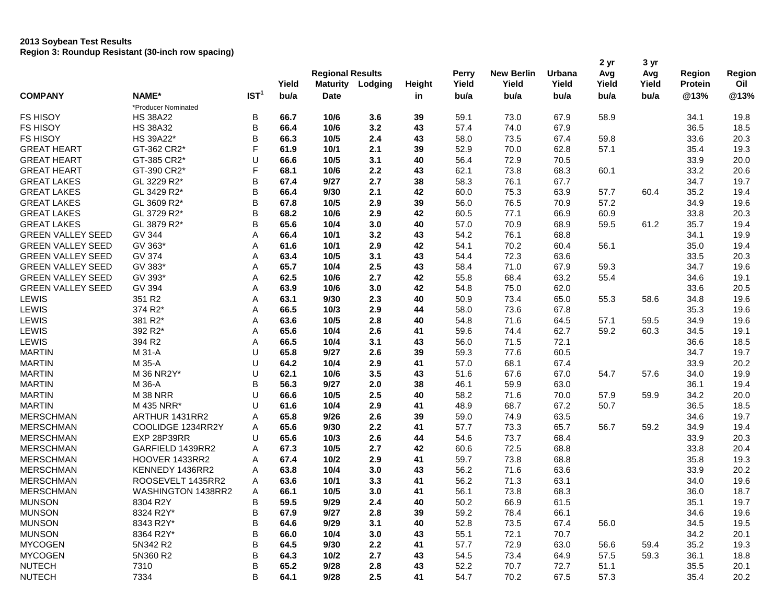| Yield<br>Yield<br>Yield<br><b>Maturity</b><br>Yield<br>Yield<br>Yield<br><b>Protein</b><br>Lodging<br>Height<br>IST <sup>1</sup><br><b>COMPANY</b><br>NAME*<br>bu/a<br>@13%<br>@13%<br><b>Date</b><br>bu/a<br>bu/a<br>bu/a<br>bu/a<br>bu/a<br>in<br>*Producer Nominated<br><b>FS HISOY</b><br><b>HS 38A22</b><br>В<br>66.7<br>10/6<br>3.6<br>39<br>59.1<br>73.0<br>67.9<br>58.9<br>34.1<br>19.8<br>В<br><b>FS HISOY</b><br><b>HS 38A32</b><br>66.4<br>10/6<br>3.2<br>43<br>57.4<br>74.0<br>67.9<br>36.5<br>18.5<br>В<br><b>FS HISOY</b><br>HS 39A22*<br>66.3<br>2.4<br>43<br>58.0<br>73.5<br>67.4<br>33.6<br>20.3<br>10/5<br>59.8<br>F<br><b>GREAT HEART</b><br>GT-362 CR2*<br>61.9<br>52.9<br>70.0<br>57.1<br>19.3<br>10/1<br>2.1<br>39<br>62.8<br>35.4<br>U<br>3.1<br>56.4<br>20.0<br><b>GREAT HEART</b><br>GT-385 CR2*<br>66.6<br>10/5<br>40<br>72.9<br>70.5<br>33.9<br>F<br>GT-390 CR2*<br>68.1<br>10/6<br>2.2<br>43<br>62.1<br>73.8<br>68.3<br>33.2<br>20.6<br><b>GREAT HEART</b><br>60.1<br>В<br><b>GREAT LAKES</b><br>GL 3229 R2*<br>67.4<br>9/27<br>2.7<br>38<br>58.3<br>76.1<br>67.7<br>34.7<br>19.7<br>В<br>GL 3429 R2*<br>66.4<br>9/30<br>2.1<br>42<br>60.0<br>75.3<br>63.9<br>57.7<br>35.2<br>19.4<br>60.4<br>В<br>GL 3609 R2*<br>67.8<br>2.9<br>39<br>56.0<br>70.9<br>57.2<br>34.9<br>19.6<br>10/5<br>76.5<br>В<br>GL 3729 R2*<br>68.2<br>2.9<br>42<br>60.5<br>66.9<br>60.9<br>33.8<br>20.3<br><b>GREAT LAKES</b><br>10/6<br>77.1<br>В<br><b>GREAT LAKES</b><br>GL 3879 R2*<br>65.6<br>3.0<br>40<br>57.0<br>70.9<br>68.9<br>61.2<br>35.7<br>19.4<br>10/4<br>59.5<br><b>GV 344</b><br>Α<br>66.4<br>3.2<br>43<br>54.2<br>76.1<br>68.8<br>19.9<br><b>GREEN VALLEY SEED</b><br>10/1<br>34.1<br>GV 363*<br><b>GREEN VALLEY SEED</b><br>61.6<br>2.9<br>42<br>54.1<br>70.2<br>60.4<br>56.1<br>19.4<br>A<br>10/1<br>35.0<br><b>GREEN VALLEY SEED</b><br>GV 374<br>Α<br>63.4<br>54.4<br>72.3<br>63.6<br>20.3<br>10/5<br>3.1<br>43<br>33.5<br>GV 383*<br>65.7<br>2.5<br>58.4<br>71.0<br>67.9<br>59.3<br>19.6<br><b>GREEN VALLEY SEED</b><br>Α<br>10/4<br>43<br>34.7<br><b>GREEN VALLEY SEED</b><br>GV 393*<br>62.5<br>10/6<br>2.7<br>42<br>55.8<br>68.4<br>63.2<br>55.4<br>19.1<br>Α<br>34.6<br><b>GREEN VALLEY SEED</b><br>GV 394<br>Α<br>63.9<br>3.0<br>42<br>54.8<br>75.0<br>62.0<br>33.6<br>20.5<br>10/6<br>LEWIS<br>351 R2<br>63.1<br>9/30<br>2.3<br>40<br>50.9<br>73.4<br>65.0<br>34.8<br>19.6<br>Α<br>55.3<br>58.6<br>374 R2*<br>LEWIS<br>Α<br>66.5<br>2.9<br>44<br>58.0<br>73.6<br>67.8<br>19.6<br>10/3<br>35.3<br>LEWIS<br>381 R2*<br>2.8<br>54.8<br>64.5<br>19.6<br>Α<br>63.6<br>10/5<br>40<br>71.6<br>57.1<br>59.5<br>34.9<br>LEWIS<br>392 R2*<br>65.6<br>2.6<br>59.6<br>74.4<br>62.7<br>59.2<br>60.3<br>19.1<br>Α<br>10/4<br>41<br>34.5<br>LEWIS<br>394 R2<br>Α<br>66.5<br>3.1<br>43<br>56.0<br>71.5<br>72.1<br>18.5<br>10/4<br>36.6<br>U<br><b>MARTIN</b><br>M 31-A<br>65.8<br>9/27<br>2.6<br>39<br>59.3<br>77.6<br>60.5<br>19.7<br>34.7<br>U<br><b>MARTIN</b><br>M 35-A<br>2.9<br>57.0<br>67.4<br>20.2<br>64.2<br>10/4<br>41<br>68.1<br>33.9<br>U<br><b>MARTIN</b><br>M 36 NR2Y*<br>3.5<br>51.6<br>67.0<br>19.9<br>62.1<br>10/6<br>43<br>67.6<br>54.7<br>57.6<br>34.0<br>В<br><b>MARTIN</b><br>M 36-A<br>56.3<br>9/27<br>2.0<br>38<br>46.1<br>59.9<br>63.0<br>36.1<br>19.4<br>U<br><b>MARTIN</b><br><b>M 38 NRR</b><br>66.6<br>10/5<br>2.5<br>40<br>58.2<br>71.6<br>70.0<br>20.0<br>57.9<br>59.9<br>34.2<br><b>MARTIN</b><br>U<br>M 435 NRR*<br>61.6<br>10/4<br>2.9<br>41<br>48.9<br>68.7<br>67.2<br>50.7<br>36.5<br>18.5<br><b>MERSCHMAN</b><br>ARTHUR 1431RR2<br>65.8<br>9/26<br>2.6<br>39<br>59.0<br>74.9<br>63.5<br>19.7<br>Α<br>34.6<br><b>MERSCHMAN</b><br>COOLIDGE 1234RR2Y<br>65.6<br>9/30<br>2.2<br>57.7<br>73.3<br>65.7<br>59.2<br>19.4<br>Α<br>41<br>56.7<br>34.9<br><b>MERSCHMAN</b><br>EXP 28P39RR<br>U<br>65.6<br>2.6<br>54.6<br>73.7<br>68.4<br>20.3<br>10/3<br>44<br>33.9<br>2.7<br><b>MERSCHMAN</b><br>GARFIELD 1439RR2<br>Α<br>67.3<br>10/5<br>42<br>60.6<br>72.5<br>68.8<br>20.4<br>33.8<br><b>MERSCHMAN</b><br>HOOVER 1433RR2<br>67.4<br>2.9<br>59.7<br>73.8<br>68.8<br>19.3<br>A<br>10/2<br>41<br>35.8<br><b>MERSCHMAN</b><br>KENNEDY 1436RR2<br>56.2<br>63.6<br>20.2<br>Α<br>63.8<br>10/4<br>3.0<br>43<br>71.6<br>33.9<br><b>MERSCHMAN</b><br>56.2<br>63.1<br>19.6<br>ROOSEVELT 1435RR2<br>63.6<br>10/1<br>3.3<br>41<br>71.3<br>34.0<br>Α<br><b>MERSCHMAN</b><br>WASHINGTON 1438RR2<br>66.1<br>10/5<br>3.0<br>56.1<br>73.8<br>68.3<br>18.7<br>41<br>36.0<br>A<br><b>MUNSON</b><br>8304 R2Y<br>В<br>59.5<br>9/29<br>$2.4\,$<br>40<br>50.2<br>66.9<br>61.5<br>35.1<br>19.7<br>B<br><b>MUNSON</b><br>8324 R2Y*<br>9/27<br>66.1<br>67.9<br>2.8<br>39<br>59.2<br>34.6<br>19.6<br>78.4<br><b>MUNSON</b><br>В<br>8343 R2Y*<br>52.8<br>34.5<br>19.5<br>64.6<br>9/29<br>3.1<br>40<br>73.5<br>67.4<br>56.0<br>В<br><b>MUNSON</b><br>8364 R2Y*<br>66.0<br>10/4<br>3.0<br>43<br>55.1<br>72.1<br>70.7<br>34.2<br>20.1<br>В<br><b>MYCOGEN</b><br>2.2<br>57.7<br>72.9<br>63.0<br>19.3<br>5N342 R2<br>64.5<br>9/30<br>41<br>56.6<br>59.4<br>35.2<br><b>MYCOGEN</b><br>В<br>5N360 R2<br>64.3<br>10/2<br>2.7<br>43<br>54.5<br>73.4<br>64.9<br>59.3<br>57.5<br>36.1<br>18.8<br><b>NUTECH</b><br>В<br>65.2<br>9/28<br>2.8<br>43<br>52.2<br>70.7<br>7310<br>72.7<br>51.1<br>35.5<br>20.1<br><b>NUTECH</b><br>2.5<br>7334<br>B<br>64.1<br>9/28<br>41<br>54.7<br>70.2<br>67.5<br>57.3<br>35.4<br>20.2 |                    |  | <b>Regional Results</b> |  | Perry | <b>New Berlin</b> | Urbana | 2 yr<br>Avg | 3 yr<br>Avg | <b>Region</b> | Region |
|-----------------------------------------------------------------------------------------------------------------------------------------------------------------------------------------------------------------------------------------------------------------------------------------------------------------------------------------------------------------------------------------------------------------------------------------------------------------------------------------------------------------------------------------------------------------------------------------------------------------------------------------------------------------------------------------------------------------------------------------------------------------------------------------------------------------------------------------------------------------------------------------------------------------------------------------------------------------------------------------------------------------------------------------------------------------------------------------------------------------------------------------------------------------------------------------------------------------------------------------------------------------------------------------------------------------------------------------------------------------------------------------------------------------------------------------------------------------------------------------------------------------------------------------------------------------------------------------------------------------------------------------------------------------------------------------------------------------------------------------------------------------------------------------------------------------------------------------------------------------------------------------------------------------------------------------------------------------------------------------------------------------------------------------------------------------------------------------------------------------------------------------------------------------------------------------------------------------------------------------------------------------------------------------------------------------------------------------------------------------------------------------------------------------------------------------------------------------------------------------------------------------------------------------------------------------------------------------------------------------------------------------------------------------------------------------------------------------------------------------------------------------------------------------------------------------------------------------------------------------------------------------------------------------------------------------------------------------------------------------------------------------------------------------------------------------------------------------------------------------------------------------------------------------------------------------------------------------------------------------------------------------------------------------------------------------------------------------------------------------------------------------------------------------------------------------------------------------------------------------------------------------------------------------------------------------------------------------------------------------------------------------------------------------------------------------------------------------------------------------------------------------------------------------------------------------------------------------------------------------------------------------------------------------------------------------------------------------------------------------------------------------------------------------------------------------------------------------------------------------------------------------------------------------------------------------------------------------------------------------------------------------------------------------------------------------------------------------------------------------------------------------------------------------------------------------------------------------------------------------------------------------------------------------------------------------------------------------------------------------------------------------------------------------------------------------------------------------------------------------------------------------------------------------------------------------------------------------------------------------------------------------------------------------------------------------------------------------------------------------------------------------------------------------------------------------------------------------------------------------------------------------------------------------------------------------------------------------------------------------------------------------------------------------------------------------------------------------------------------------------------------------------------------------------|--------------------|--|-------------------------|--|-------|-------------------|--------|-------------|-------------|---------------|--------|
|                                                                                                                                                                                                                                                                                                                                                                                                                                                                                                                                                                                                                                                                                                                                                                                                                                                                                                                                                                                                                                                                                                                                                                                                                                                                                                                                                                                                                                                                                                                                                                                                                                                                                                                                                                                                                                                                                                                                                                                                                                                                                                                                                                                                                                                                                                                                                                                                                                                                                                                                                                                                                                                                                                                                                                                                                                                                                                                                                                                                                                                                                                                                                                                                                                                                                                                                                                                                                                                                                                                                                                                                                                                                                                                                                                                                                                                                                                                                                                                                                                                                                                                                                                                                                                                                                                                                                                                                                                                                                                                                                                                                                                                                                                                                                                                                                                                                                                                                                                                                                                                                                                                                                                                                                                                                                                                                                                                                                       |                    |  |                         |  |       |                   |        |             |             |               | Oil    |
|                                                                                                                                                                                                                                                                                                                                                                                                                                                                                                                                                                                                                                                                                                                                                                                                                                                                                                                                                                                                                                                                                                                                                                                                                                                                                                                                                                                                                                                                                                                                                                                                                                                                                                                                                                                                                                                                                                                                                                                                                                                                                                                                                                                                                                                                                                                                                                                                                                                                                                                                                                                                                                                                                                                                                                                                                                                                                                                                                                                                                                                                                                                                                                                                                                                                                                                                                                                                                                                                                                                                                                                                                                                                                                                                                                                                                                                                                                                                                                                                                                                                                                                                                                                                                                                                                                                                                                                                                                                                                                                                                                                                                                                                                                                                                                                                                                                                                                                                                                                                                                                                                                                                                                                                                                                                                                                                                                                                                       |                    |  |                         |  |       |                   |        |             |             |               |        |
|                                                                                                                                                                                                                                                                                                                                                                                                                                                                                                                                                                                                                                                                                                                                                                                                                                                                                                                                                                                                                                                                                                                                                                                                                                                                                                                                                                                                                                                                                                                                                                                                                                                                                                                                                                                                                                                                                                                                                                                                                                                                                                                                                                                                                                                                                                                                                                                                                                                                                                                                                                                                                                                                                                                                                                                                                                                                                                                                                                                                                                                                                                                                                                                                                                                                                                                                                                                                                                                                                                                                                                                                                                                                                                                                                                                                                                                                                                                                                                                                                                                                                                                                                                                                                                                                                                                                                                                                                                                                                                                                                                                                                                                                                                                                                                                                                                                                                                                                                                                                                                                                                                                                                                                                                                                                                                                                                                                                                       |                    |  |                         |  |       |                   |        |             |             |               |        |
|                                                                                                                                                                                                                                                                                                                                                                                                                                                                                                                                                                                                                                                                                                                                                                                                                                                                                                                                                                                                                                                                                                                                                                                                                                                                                                                                                                                                                                                                                                                                                                                                                                                                                                                                                                                                                                                                                                                                                                                                                                                                                                                                                                                                                                                                                                                                                                                                                                                                                                                                                                                                                                                                                                                                                                                                                                                                                                                                                                                                                                                                                                                                                                                                                                                                                                                                                                                                                                                                                                                                                                                                                                                                                                                                                                                                                                                                                                                                                                                                                                                                                                                                                                                                                                                                                                                                                                                                                                                                                                                                                                                                                                                                                                                                                                                                                                                                                                                                                                                                                                                                                                                                                                                                                                                                                                                                                                                                                       |                    |  |                         |  |       |                   |        |             |             |               |        |
|                                                                                                                                                                                                                                                                                                                                                                                                                                                                                                                                                                                                                                                                                                                                                                                                                                                                                                                                                                                                                                                                                                                                                                                                                                                                                                                                                                                                                                                                                                                                                                                                                                                                                                                                                                                                                                                                                                                                                                                                                                                                                                                                                                                                                                                                                                                                                                                                                                                                                                                                                                                                                                                                                                                                                                                                                                                                                                                                                                                                                                                                                                                                                                                                                                                                                                                                                                                                                                                                                                                                                                                                                                                                                                                                                                                                                                                                                                                                                                                                                                                                                                                                                                                                                                                                                                                                                                                                                                                                                                                                                                                                                                                                                                                                                                                                                                                                                                                                                                                                                                                                                                                                                                                                                                                                                                                                                                                                                       |                    |  |                         |  |       |                   |        |             |             |               |        |
|                                                                                                                                                                                                                                                                                                                                                                                                                                                                                                                                                                                                                                                                                                                                                                                                                                                                                                                                                                                                                                                                                                                                                                                                                                                                                                                                                                                                                                                                                                                                                                                                                                                                                                                                                                                                                                                                                                                                                                                                                                                                                                                                                                                                                                                                                                                                                                                                                                                                                                                                                                                                                                                                                                                                                                                                                                                                                                                                                                                                                                                                                                                                                                                                                                                                                                                                                                                                                                                                                                                                                                                                                                                                                                                                                                                                                                                                                                                                                                                                                                                                                                                                                                                                                                                                                                                                                                                                                                                                                                                                                                                                                                                                                                                                                                                                                                                                                                                                                                                                                                                                                                                                                                                                                                                                                                                                                                                                                       |                    |  |                         |  |       |                   |        |             |             |               |        |
|                                                                                                                                                                                                                                                                                                                                                                                                                                                                                                                                                                                                                                                                                                                                                                                                                                                                                                                                                                                                                                                                                                                                                                                                                                                                                                                                                                                                                                                                                                                                                                                                                                                                                                                                                                                                                                                                                                                                                                                                                                                                                                                                                                                                                                                                                                                                                                                                                                                                                                                                                                                                                                                                                                                                                                                                                                                                                                                                                                                                                                                                                                                                                                                                                                                                                                                                                                                                                                                                                                                                                                                                                                                                                                                                                                                                                                                                                                                                                                                                                                                                                                                                                                                                                                                                                                                                                                                                                                                                                                                                                                                                                                                                                                                                                                                                                                                                                                                                                                                                                                                                                                                                                                                                                                                                                                                                                                                                                       |                    |  |                         |  |       |                   |        |             |             |               |        |
|                                                                                                                                                                                                                                                                                                                                                                                                                                                                                                                                                                                                                                                                                                                                                                                                                                                                                                                                                                                                                                                                                                                                                                                                                                                                                                                                                                                                                                                                                                                                                                                                                                                                                                                                                                                                                                                                                                                                                                                                                                                                                                                                                                                                                                                                                                                                                                                                                                                                                                                                                                                                                                                                                                                                                                                                                                                                                                                                                                                                                                                                                                                                                                                                                                                                                                                                                                                                                                                                                                                                                                                                                                                                                                                                                                                                                                                                                                                                                                                                                                                                                                                                                                                                                                                                                                                                                                                                                                                                                                                                                                                                                                                                                                                                                                                                                                                                                                                                                                                                                                                                                                                                                                                                                                                                                                                                                                                                                       |                    |  |                         |  |       |                   |        |             |             |               |        |
|                                                                                                                                                                                                                                                                                                                                                                                                                                                                                                                                                                                                                                                                                                                                                                                                                                                                                                                                                                                                                                                                                                                                                                                                                                                                                                                                                                                                                                                                                                                                                                                                                                                                                                                                                                                                                                                                                                                                                                                                                                                                                                                                                                                                                                                                                                                                                                                                                                                                                                                                                                                                                                                                                                                                                                                                                                                                                                                                                                                                                                                                                                                                                                                                                                                                                                                                                                                                                                                                                                                                                                                                                                                                                                                                                                                                                                                                                                                                                                                                                                                                                                                                                                                                                                                                                                                                                                                                                                                                                                                                                                                                                                                                                                                                                                                                                                                                                                                                                                                                                                                                                                                                                                                                                                                                                                                                                                                                                       |                    |  |                         |  |       |                   |        |             |             |               |        |
|                                                                                                                                                                                                                                                                                                                                                                                                                                                                                                                                                                                                                                                                                                                                                                                                                                                                                                                                                                                                                                                                                                                                                                                                                                                                                                                                                                                                                                                                                                                                                                                                                                                                                                                                                                                                                                                                                                                                                                                                                                                                                                                                                                                                                                                                                                                                                                                                                                                                                                                                                                                                                                                                                                                                                                                                                                                                                                                                                                                                                                                                                                                                                                                                                                                                                                                                                                                                                                                                                                                                                                                                                                                                                                                                                                                                                                                                                                                                                                                                                                                                                                                                                                                                                                                                                                                                                                                                                                                                                                                                                                                                                                                                                                                                                                                                                                                                                                                                                                                                                                                                                                                                                                                                                                                                                                                                                                                                                       |                    |  |                         |  |       |                   |        |             |             |               |        |
|                                                                                                                                                                                                                                                                                                                                                                                                                                                                                                                                                                                                                                                                                                                                                                                                                                                                                                                                                                                                                                                                                                                                                                                                                                                                                                                                                                                                                                                                                                                                                                                                                                                                                                                                                                                                                                                                                                                                                                                                                                                                                                                                                                                                                                                                                                                                                                                                                                                                                                                                                                                                                                                                                                                                                                                                                                                                                                                                                                                                                                                                                                                                                                                                                                                                                                                                                                                                                                                                                                                                                                                                                                                                                                                                                                                                                                                                                                                                                                                                                                                                                                                                                                                                                                                                                                                                                                                                                                                                                                                                                                                                                                                                                                                                                                                                                                                                                                                                                                                                                                                                                                                                                                                                                                                                                                                                                                                                                       | <b>GREAT LAKES</b> |  |                         |  |       |                   |        |             |             |               |        |
|                                                                                                                                                                                                                                                                                                                                                                                                                                                                                                                                                                                                                                                                                                                                                                                                                                                                                                                                                                                                                                                                                                                                                                                                                                                                                                                                                                                                                                                                                                                                                                                                                                                                                                                                                                                                                                                                                                                                                                                                                                                                                                                                                                                                                                                                                                                                                                                                                                                                                                                                                                                                                                                                                                                                                                                                                                                                                                                                                                                                                                                                                                                                                                                                                                                                                                                                                                                                                                                                                                                                                                                                                                                                                                                                                                                                                                                                                                                                                                                                                                                                                                                                                                                                                                                                                                                                                                                                                                                                                                                                                                                                                                                                                                                                                                                                                                                                                                                                                                                                                                                                                                                                                                                                                                                                                                                                                                                                                       | <b>GREAT LAKES</b> |  |                         |  |       |                   |        |             |             |               |        |
|                                                                                                                                                                                                                                                                                                                                                                                                                                                                                                                                                                                                                                                                                                                                                                                                                                                                                                                                                                                                                                                                                                                                                                                                                                                                                                                                                                                                                                                                                                                                                                                                                                                                                                                                                                                                                                                                                                                                                                                                                                                                                                                                                                                                                                                                                                                                                                                                                                                                                                                                                                                                                                                                                                                                                                                                                                                                                                                                                                                                                                                                                                                                                                                                                                                                                                                                                                                                                                                                                                                                                                                                                                                                                                                                                                                                                                                                                                                                                                                                                                                                                                                                                                                                                                                                                                                                                                                                                                                                                                                                                                                                                                                                                                                                                                                                                                                                                                                                                                                                                                                                                                                                                                                                                                                                                                                                                                                                                       |                    |  |                         |  |       |                   |        |             |             |               |        |
|                                                                                                                                                                                                                                                                                                                                                                                                                                                                                                                                                                                                                                                                                                                                                                                                                                                                                                                                                                                                                                                                                                                                                                                                                                                                                                                                                                                                                                                                                                                                                                                                                                                                                                                                                                                                                                                                                                                                                                                                                                                                                                                                                                                                                                                                                                                                                                                                                                                                                                                                                                                                                                                                                                                                                                                                                                                                                                                                                                                                                                                                                                                                                                                                                                                                                                                                                                                                                                                                                                                                                                                                                                                                                                                                                                                                                                                                                                                                                                                                                                                                                                                                                                                                                                                                                                                                                                                                                                                                                                                                                                                                                                                                                                                                                                                                                                                                                                                                                                                                                                                                                                                                                                                                                                                                                                                                                                                                                       |                    |  |                         |  |       |                   |        |             |             |               |        |
|                                                                                                                                                                                                                                                                                                                                                                                                                                                                                                                                                                                                                                                                                                                                                                                                                                                                                                                                                                                                                                                                                                                                                                                                                                                                                                                                                                                                                                                                                                                                                                                                                                                                                                                                                                                                                                                                                                                                                                                                                                                                                                                                                                                                                                                                                                                                                                                                                                                                                                                                                                                                                                                                                                                                                                                                                                                                                                                                                                                                                                                                                                                                                                                                                                                                                                                                                                                                                                                                                                                                                                                                                                                                                                                                                                                                                                                                                                                                                                                                                                                                                                                                                                                                                                                                                                                                                                                                                                                                                                                                                                                                                                                                                                                                                                                                                                                                                                                                                                                                                                                                                                                                                                                                                                                                                                                                                                                                                       |                    |  |                         |  |       |                   |        |             |             |               |        |
|                                                                                                                                                                                                                                                                                                                                                                                                                                                                                                                                                                                                                                                                                                                                                                                                                                                                                                                                                                                                                                                                                                                                                                                                                                                                                                                                                                                                                                                                                                                                                                                                                                                                                                                                                                                                                                                                                                                                                                                                                                                                                                                                                                                                                                                                                                                                                                                                                                                                                                                                                                                                                                                                                                                                                                                                                                                                                                                                                                                                                                                                                                                                                                                                                                                                                                                                                                                                                                                                                                                                                                                                                                                                                                                                                                                                                                                                                                                                                                                                                                                                                                                                                                                                                                                                                                                                                                                                                                                                                                                                                                                                                                                                                                                                                                                                                                                                                                                                                                                                                                                                                                                                                                                                                                                                                                                                                                                                                       |                    |  |                         |  |       |                   |        |             |             |               |        |
|                                                                                                                                                                                                                                                                                                                                                                                                                                                                                                                                                                                                                                                                                                                                                                                                                                                                                                                                                                                                                                                                                                                                                                                                                                                                                                                                                                                                                                                                                                                                                                                                                                                                                                                                                                                                                                                                                                                                                                                                                                                                                                                                                                                                                                                                                                                                                                                                                                                                                                                                                                                                                                                                                                                                                                                                                                                                                                                                                                                                                                                                                                                                                                                                                                                                                                                                                                                                                                                                                                                                                                                                                                                                                                                                                                                                                                                                                                                                                                                                                                                                                                                                                                                                                                                                                                                                                                                                                                                                                                                                                                                                                                                                                                                                                                                                                                                                                                                                                                                                                                                                                                                                                                                                                                                                                                                                                                                                                       |                    |  |                         |  |       |                   |        |             |             |               |        |
|                                                                                                                                                                                                                                                                                                                                                                                                                                                                                                                                                                                                                                                                                                                                                                                                                                                                                                                                                                                                                                                                                                                                                                                                                                                                                                                                                                                                                                                                                                                                                                                                                                                                                                                                                                                                                                                                                                                                                                                                                                                                                                                                                                                                                                                                                                                                                                                                                                                                                                                                                                                                                                                                                                                                                                                                                                                                                                                                                                                                                                                                                                                                                                                                                                                                                                                                                                                                                                                                                                                                                                                                                                                                                                                                                                                                                                                                                                                                                                                                                                                                                                                                                                                                                                                                                                                                                                                                                                                                                                                                                                                                                                                                                                                                                                                                                                                                                                                                                                                                                                                                                                                                                                                                                                                                                                                                                                                                                       |                    |  |                         |  |       |                   |        |             |             |               |        |
|                                                                                                                                                                                                                                                                                                                                                                                                                                                                                                                                                                                                                                                                                                                                                                                                                                                                                                                                                                                                                                                                                                                                                                                                                                                                                                                                                                                                                                                                                                                                                                                                                                                                                                                                                                                                                                                                                                                                                                                                                                                                                                                                                                                                                                                                                                                                                                                                                                                                                                                                                                                                                                                                                                                                                                                                                                                                                                                                                                                                                                                                                                                                                                                                                                                                                                                                                                                                                                                                                                                                                                                                                                                                                                                                                                                                                                                                                                                                                                                                                                                                                                                                                                                                                                                                                                                                                                                                                                                                                                                                                                                                                                                                                                                                                                                                                                                                                                                                                                                                                                                                                                                                                                                                                                                                                                                                                                                                                       |                    |  |                         |  |       |                   |        |             |             |               |        |
|                                                                                                                                                                                                                                                                                                                                                                                                                                                                                                                                                                                                                                                                                                                                                                                                                                                                                                                                                                                                                                                                                                                                                                                                                                                                                                                                                                                                                                                                                                                                                                                                                                                                                                                                                                                                                                                                                                                                                                                                                                                                                                                                                                                                                                                                                                                                                                                                                                                                                                                                                                                                                                                                                                                                                                                                                                                                                                                                                                                                                                                                                                                                                                                                                                                                                                                                                                                                                                                                                                                                                                                                                                                                                                                                                                                                                                                                                                                                                                                                                                                                                                                                                                                                                                                                                                                                                                                                                                                                                                                                                                                                                                                                                                                                                                                                                                                                                                                                                                                                                                                                                                                                                                                                                                                                                                                                                                                                                       |                    |  |                         |  |       |                   |        |             |             |               |        |
|                                                                                                                                                                                                                                                                                                                                                                                                                                                                                                                                                                                                                                                                                                                                                                                                                                                                                                                                                                                                                                                                                                                                                                                                                                                                                                                                                                                                                                                                                                                                                                                                                                                                                                                                                                                                                                                                                                                                                                                                                                                                                                                                                                                                                                                                                                                                                                                                                                                                                                                                                                                                                                                                                                                                                                                                                                                                                                                                                                                                                                                                                                                                                                                                                                                                                                                                                                                                                                                                                                                                                                                                                                                                                                                                                                                                                                                                                                                                                                                                                                                                                                                                                                                                                                                                                                                                                                                                                                                                                                                                                                                                                                                                                                                                                                                                                                                                                                                                                                                                                                                                                                                                                                                                                                                                                                                                                                                                                       |                    |  |                         |  |       |                   |        |             |             |               |        |
|                                                                                                                                                                                                                                                                                                                                                                                                                                                                                                                                                                                                                                                                                                                                                                                                                                                                                                                                                                                                                                                                                                                                                                                                                                                                                                                                                                                                                                                                                                                                                                                                                                                                                                                                                                                                                                                                                                                                                                                                                                                                                                                                                                                                                                                                                                                                                                                                                                                                                                                                                                                                                                                                                                                                                                                                                                                                                                                                                                                                                                                                                                                                                                                                                                                                                                                                                                                                                                                                                                                                                                                                                                                                                                                                                                                                                                                                                                                                                                                                                                                                                                                                                                                                                                                                                                                                                                                                                                                                                                                                                                                                                                                                                                                                                                                                                                                                                                                                                                                                                                                                                                                                                                                                                                                                                                                                                                                                                       |                    |  |                         |  |       |                   |        |             |             |               |        |
|                                                                                                                                                                                                                                                                                                                                                                                                                                                                                                                                                                                                                                                                                                                                                                                                                                                                                                                                                                                                                                                                                                                                                                                                                                                                                                                                                                                                                                                                                                                                                                                                                                                                                                                                                                                                                                                                                                                                                                                                                                                                                                                                                                                                                                                                                                                                                                                                                                                                                                                                                                                                                                                                                                                                                                                                                                                                                                                                                                                                                                                                                                                                                                                                                                                                                                                                                                                                                                                                                                                                                                                                                                                                                                                                                                                                                                                                                                                                                                                                                                                                                                                                                                                                                                                                                                                                                                                                                                                                                                                                                                                                                                                                                                                                                                                                                                                                                                                                                                                                                                                                                                                                                                                                                                                                                                                                                                                                                       |                    |  |                         |  |       |                   |        |             |             |               |        |
|                                                                                                                                                                                                                                                                                                                                                                                                                                                                                                                                                                                                                                                                                                                                                                                                                                                                                                                                                                                                                                                                                                                                                                                                                                                                                                                                                                                                                                                                                                                                                                                                                                                                                                                                                                                                                                                                                                                                                                                                                                                                                                                                                                                                                                                                                                                                                                                                                                                                                                                                                                                                                                                                                                                                                                                                                                                                                                                                                                                                                                                                                                                                                                                                                                                                                                                                                                                                                                                                                                                                                                                                                                                                                                                                                                                                                                                                                                                                                                                                                                                                                                                                                                                                                                                                                                                                                                                                                                                                                                                                                                                                                                                                                                                                                                                                                                                                                                                                                                                                                                                                                                                                                                                                                                                                                                                                                                                                                       |                    |  |                         |  |       |                   |        |             |             |               |        |
|                                                                                                                                                                                                                                                                                                                                                                                                                                                                                                                                                                                                                                                                                                                                                                                                                                                                                                                                                                                                                                                                                                                                                                                                                                                                                                                                                                                                                                                                                                                                                                                                                                                                                                                                                                                                                                                                                                                                                                                                                                                                                                                                                                                                                                                                                                                                                                                                                                                                                                                                                                                                                                                                                                                                                                                                                                                                                                                                                                                                                                                                                                                                                                                                                                                                                                                                                                                                                                                                                                                                                                                                                                                                                                                                                                                                                                                                                                                                                                                                                                                                                                                                                                                                                                                                                                                                                                                                                                                                                                                                                                                                                                                                                                                                                                                                                                                                                                                                                                                                                                                                                                                                                                                                                                                                                                                                                                                                                       |                    |  |                         |  |       |                   |        |             |             |               |        |
|                                                                                                                                                                                                                                                                                                                                                                                                                                                                                                                                                                                                                                                                                                                                                                                                                                                                                                                                                                                                                                                                                                                                                                                                                                                                                                                                                                                                                                                                                                                                                                                                                                                                                                                                                                                                                                                                                                                                                                                                                                                                                                                                                                                                                                                                                                                                                                                                                                                                                                                                                                                                                                                                                                                                                                                                                                                                                                                                                                                                                                                                                                                                                                                                                                                                                                                                                                                                                                                                                                                                                                                                                                                                                                                                                                                                                                                                                                                                                                                                                                                                                                                                                                                                                                                                                                                                                                                                                                                                                                                                                                                                                                                                                                                                                                                                                                                                                                                                                                                                                                                                                                                                                                                                                                                                                                                                                                                                                       |                    |  |                         |  |       |                   |        |             |             |               |        |
|                                                                                                                                                                                                                                                                                                                                                                                                                                                                                                                                                                                                                                                                                                                                                                                                                                                                                                                                                                                                                                                                                                                                                                                                                                                                                                                                                                                                                                                                                                                                                                                                                                                                                                                                                                                                                                                                                                                                                                                                                                                                                                                                                                                                                                                                                                                                                                                                                                                                                                                                                                                                                                                                                                                                                                                                                                                                                                                                                                                                                                                                                                                                                                                                                                                                                                                                                                                                                                                                                                                                                                                                                                                                                                                                                                                                                                                                                                                                                                                                                                                                                                                                                                                                                                                                                                                                                                                                                                                                                                                                                                                                                                                                                                                                                                                                                                                                                                                                                                                                                                                                                                                                                                                                                                                                                                                                                                                                                       |                    |  |                         |  |       |                   |        |             |             |               |        |
|                                                                                                                                                                                                                                                                                                                                                                                                                                                                                                                                                                                                                                                                                                                                                                                                                                                                                                                                                                                                                                                                                                                                                                                                                                                                                                                                                                                                                                                                                                                                                                                                                                                                                                                                                                                                                                                                                                                                                                                                                                                                                                                                                                                                                                                                                                                                                                                                                                                                                                                                                                                                                                                                                                                                                                                                                                                                                                                                                                                                                                                                                                                                                                                                                                                                                                                                                                                                                                                                                                                                                                                                                                                                                                                                                                                                                                                                                                                                                                                                                                                                                                                                                                                                                                                                                                                                                                                                                                                                                                                                                                                                                                                                                                                                                                                                                                                                                                                                                                                                                                                                                                                                                                                                                                                                                                                                                                                                                       |                    |  |                         |  |       |                   |        |             |             |               |        |
|                                                                                                                                                                                                                                                                                                                                                                                                                                                                                                                                                                                                                                                                                                                                                                                                                                                                                                                                                                                                                                                                                                                                                                                                                                                                                                                                                                                                                                                                                                                                                                                                                                                                                                                                                                                                                                                                                                                                                                                                                                                                                                                                                                                                                                                                                                                                                                                                                                                                                                                                                                                                                                                                                                                                                                                                                                                                                                                                                                                                                                                                                                                                                                                                                                                                                                                                                                                                                                                                                                                                                                                                                                                                                                                                                                                                                                                                                                                                                                                                                                                                                                                                                                                                                                                                                                                                                                                                                                                                                                                                                                                                                                                                                                                                                                                                                                                                                                                                                                                                                                                                                                                                                                                                                                                                                                                                                                                                                       |                    |  |                         |  |       |                   |        |             |             |               |        |
|                                                                                                                                                                                                                                                                                                                                                                                                                                                                                                                                                                                                                                                                                                                                                                                                                                                                                                                                                                                                                                                                                                                                                                                                                                                                                                                                                                                                                                                                                                                                                                                                                                                                                                                                                                                                                                                                                                                                                                                                                                                                                                                                                                                                                                                                                                                                                                                                                                                                                                                                                                                                                                                                                                                                                                                                                                                                                                                                                                                                                                                                                                                                                                                                                                                                                                                                                                                                                                                                                                                                                                                                                                                                                                                                                                                                                                                                                                                                                                                                                                                                                                                                                                                                                                                                                                                                                                                                                                                                                                                                                                                                                                                                                                                                                                                                                                                                                                                                                                                                                                                                                                                                                                                                                                                                                                                                                                                                                       |                    |  |                         |  |       |                   |        |             |             |               |        |
|                                                                                                                                                                                                                                                                                                                                                                                                                                                                                                                                                                                                                                                                                                                                                                                                                                                                                                                                                                                                                                                                                                                                                                                                                                                                                                                                                                                                                                                                                                                                                                                                                                                                                                                                                                                                                                                                                                                                                                                                                                                                                                                                                                                                                                                                                                                                                                                                                                                                                                                                                                                                                                                                                                                                                                                                                                                                                                                                                                                                                                                                                                                                                                                                                                                                                                                                                                                                                                                                                                                                                                                                                                                                                                                                                                                                                                                                                                                                                                                                                                                                                                                                                                                                                                                                                                                                                                                                                                                                                                                                                                                                                                                                                                                                                                                                                                                                                                                                                                                                                                                                                                                                                                                                                                                                                                                                                                                                                       |                    |  |                         |  |       |                   |        |             |             |               |        |
|                                                                                                                                                                                                                                                                                                                                                                                                                                                                                                                                                                                                                                                                                                                                                                                                                                                                                                                                                                                                                                                                                                                                                                                                                                                                                                                                                                                                                                                                                                                                                                                                                                                                                                                                                                                                                                                                                                                                                                                                                                                                                                                                                                                                                                                                                                                                                                                                                                                                                                                                                                                                                                                                                                                                                                                                                                                                                                                                                                                                                                                                                                                                                                                                                                                                                                                                                                                                                                                                                                                                                                                                                                                                                                                                                                                                                                                                                                                                                                                                                                                                                                                                                                                                                                                                                                                                                                                                                                                                                                                                                                                                                                                                                                                                                                                                                                                                                                                                                                                                                                                                                                                                                                                                                                                                                                                                                                                                                       |                    |  |                         |  |       |                   |        |             |             |               |        |
|                                                                                                                                                                                                                                                                                                                                                                                                                                                                                                                                                                                                                                                                                                                                                                                                                                                                                                                                                                                                                                                                                                                                                                                                                                                                                                                                                                                                                                                                                                                                                                                                                                                                                                                                                                                                                                                                                                                                                                                                                                                                                                                                                                                                                                                                                                                                                                                                                                                                                                                                                                                                                                                                                                                                                                                                                                                                                                                                                                                                                                                                                                                                                                                                                                                                                                                                                                                                                                                                                                                                                                                                                                                                                                                                                                                                                                                                                                                                                                                                                                                                                                                                                                                                                                                                                                                                                                                                                                                                                                                                                                                                                                                                                                                                                                                                                                                                                                                                                                                                                                                                                                                                                                                                                                                                                                                                                                                                                       |                    |  |                         |  |       |                   |        |             |             |               |        |
|                                                                                                                                                                                                                                                                                                                                                                                                                                                                                                                                                                                                                                                                                                                                                                                                                                                                                                                                                                                                                                                                                                                                                                                                                                                                                                                                                                                                                                                                                                                                                                                                                                                                                                                                                                                                                                                                                                                                                                                                                                                                                                                                                                                                                                                                                                                                                                                                                                                                                                                                                                                                                                                                                                                                                                                                                                                                                                                                                                                                                                                                                                                                                                                                                                                                                                                                                                                                                                                                                                                                                                                                                                                                                                                                                                                                                                                                                                                                                                                                                                                                                                                                                                                                                                                                                                                                                                                                                                                                                                                                                                                                                                                                                                                                                                                                                                                                                                                                                                                                                                                                                                                                                                                                                                                                                                                                                                                                                       |                    |  |                         |  |       |                   |        |             |             |               |        |
|                                                                                                                                                                                                                                                                                                                                                                                                                                                                                                                                                                                                                                                                                                                                                                                                                                                                                                                                                                                                                                                                                                                                                                                                                                                                                                                                                                                                                                                                                                                                                                                                                                                                                                                                                                                                                                                                                                                                                                                                                                                                                                                                                                                                                                                                                                                                                                                                                                                                                                                                                                                                                                                                                                                                                                                                                                                                                                                                                                                                                                                                                                                                                                                                                                                                                                                                                                                                                                                                                                                                                                                                                                                                                                                                                                                                                                                                                                                                                                                                                                                                                                                                                                                                                                                                                                                                                                                                                                                                                                                                                                                                                                                                                                                                                                                                                                                                                                                                                                                                                                                                                                                                                                                                                                                                                                                                                                                                                       |                    |  |                         |  |       |                   |        |             |             |               |        |
|                                                                                                                                                                                                                                                                                                                                                                                                                                                                                                                                                                                                                                                                                                                                                                                                                                                                                                                                                                                                                                                                                                                                                                                                                                                                                                                                                                                                                                                                                                                                                                                                                                                                                                                                                                                                                                                                                                                                                                                                                                                                                                                                                                                                                                                                                                                                                                                                                                                                                                                                                                                                                                                                                                                                                                                                                                                                                                                                                                                                                                                                                                                                                                                                                                                                                                                                                                                                                                                                                                                                                                                                                                                                                                                                                                                                                                                                                                                                                                                                                                                                                                                                                                                                                                                                                                                                                                                                                                                                                                                                                                                                                                                                                                                                                                                                                                                                                                                                                                                                                                                                                                                                                                                                                                                                                                                                                                                                                       |                    |  |                         |  |       |                   |        |             |             |               |        |
|                                                                                                                                                                                                                                                                                                                                                                                                                                                                                                                                                                                                                                                                                                                                                                                                                                                                                                                                                                                                                                                                                                                                                                                                                                                                                                                                                                                                                                                                                                                                                                                                                                                                                                                                                                                                                                                                                                                                                                                                                                                                                                                                                                                                                                                                                                                                                                                                                                                                                                                                                                                                                                                                                                                                                                                                                                                                                                                                                                                                                                                                                                                                                                                                                                                                                                                                                                                                                                                                                                                                                                                                                                                                                                                                                                                                                                                                                                                                                                                                                                                                                                                                                                                                                                                                                                                                                                                                                                                                                                                                                                                                                                                                                                                                                                                                                                                                                                                                                                                                                                                                                                                                                                                                                                                                                                                                                                                                                       |                    |  |                         |  |       |                   |        |             |             |               |        |
|                                                                                                                                                                                                                                                                                                                                                                                                                                                                                                                                                                                                                                                                                                                                                                                                                                                                                                                                                                                                                                                                                                                                                                                                                                                                                                                                                                                                                                                                                                                                                                                                                                                                                                                                                                                                                                                                                                                                                                                                                                                                                                                                                                                                                                                                                                                                                                                                                                                                                                                                                                                                                                                                                                                                                                                                                                                                                                                                                                                                                                                                                                                                                                                                                                                                                                                                                                                                                                                                                                                                                                                                                                                                                                                                                                                                                                                                                                                                                                                                                                                                                                                                                                                                                                                                                                                                                                                                                                                                                                                                                                                                                                                                                                                                                                                                                                                                                                                                                                                                                                                                                                                                                                                                                                                                                                                                                                                                                       |                    |  |                         |  |       |                   |        |             |             |               |        |
|                                                                                                                                                                                                                                                                                                                                                                                                                                                                                                                                                                                                                                                                                                                                                                                                                                                                                                                                                                                                                                                                                                                                                                                                                                                                                                                                                                                                                                                                                                                                                                                                                                                                                                                                                                                                                                                                                                                                                                                                                                                                                                                                                                                                                                                                                                                                                                                                                                                                                                                                                                                                                                                                                                                                                                                                                                                                                                                                                                                                                                                                                                                                                                                                                                                                                                                                                                                                                                                                                                                                                                                                                                                                                                                                                                                                                                                                                                                                                                                                                                                                                                                                                                                                                                                                                                                                                                                                                                                                                                                                                                                                                                                                                                                                                                                                                                                                                                                                                                                                                                                                                                                                                                                                                                                                                                                                                                                                                       |                    |  |                         |  |       |                   |        |             |             |               |        |
|                                                                                                                                                                                                                                                                                                                                                                                                                                                                                                                                                                                                                                                                                                                                                                                                                                                                                                                                                                                                                                                                                                                                                                                                                                                                                                                                                                                                                                                                                                                                                                                                                                                                                                                                                                                                                                                                                                                                                                                                                                                                                                                                                                                                                                                                                                                                                                                                                                                                                                                                                                                                                                                                                                                                                                                                                                                                                                                                                                                                                                                                                                                                                                                                                                                                                                                                                                                                                                                                                                                                                                                                                                                                                                                                                                                                                                                                                                                                                                                                                                                                                                                                                                                                                                                                                                                                                                                                                                                                                                                                                                                                                                                                                                                                                                                                                                                                                                                                                                                                                                                                                                                                                                                                                                                                                                                                                                                                                       |                    |  |                         |  |       |                   |        |             |             |               |        |
|                                                                                                                                                                                                                                                                                                                                                                                                                                                                                                                                                                                                                                                                                                                                                                                                                                                                                                                                                                                                                                                                                                                                                                                                                                                                                                                                                                                                                                                                                                                                                                                                                                                                                                                                                                                                                                                                                                                                                                                                                                                                                                                                                                                                                                                                                                                                                                                                                                                                                                                                                                                                                                                                                                                                                                                                                                                                                                                                                                                                                                                                                                                                                                                                                                                                                                                                                                                                                                                                                                                                                                                                                                                                                                                                                                                                                                                                                                                                                                                                                                                                                                                                                                                                                                                                                                                                                                                                                                                                                                                                                                                                                                                                                                                                                                                                                                                                                                                                                                                                                                                                                                                                                                                                                                                                                                                                                                                                                       |                    |  |                         |  |       |                   |        |             |             |               |        |
|                                                                                                                                                                                                                                                                                                                                                                                                                                                                                                                                                                                                                                                                                                                                                                                                                                                                                                                                                                                                                                                                                                                                                                                                                                                                                                                                                                                                                                                                                                                                                                                                                                                                                                                                                                                                                                                                                                                                                                                                                                                                                                                                                                                                                                                                                                                                                                                                                                                                                                                                                                                                                                                                                                                                                                                                                                                                                                                                                                                                                                                                                                                                                                                                                                                                                                                                                                                                                                                                                                                                                                                                                                                                                                                                                                                                                                                                                                                                                                                                                                                                                                                                                                                                                                                                                                                                                                                                                                                                                                                                                                                                                                                                                                                                                                                                                                                                                                                                                                                                                                                                                                                                                                                                                                                                                                                                                                                                                       |                    |  |                         |  |       |                   |        |             |             |               |        |
|                                                                                                                                                                                                                                                                                                                                                                                                                                                                                                                                                                                                                                                                                                                                                                                                                                                                                                                                                                                                                                                                                                                                                                                                                                                                                                                                                                                                                                                                                                                                                                                                                                                                                                                                                                                                                                                                                                                                                                                                                                                                                                                                                                                                                                                                                                                                                                                                                                                                                                                                                                                                                                                                                                                                                                                                                                                                                                                                                                                                                                                                                                                                                                                                                                                                                                                                                                                                                                                                                                                                                                                                                                                                                                                                                                                                                                                                                                                                                                                                                                                                                                                                                                                                                                                                                                                                                                                                                                                                                                                                                                                                                                                                                                                                                                                                                                                                                                                                                                                                                                                                                                                                                                                                                                                                                                                                                                                                                       |                    |  |                         |  |       |                   |        |             |             |               |        |
|                                                                                                                                                                                                                                                                                                                                                                                                                                                                                                                                                                                                                                                                                                                                                                                                                                                                                                                                                                                                                                                                                                                                                                                                                                                                                                                                                                                                                                                                                                                                                                                                                                                                                                                                                                                                                                                                                                                                                                                                                                                                                                                                                                                                                                                                                                                                                                                                                                                                                                                                                                                                                                                                                                                                                                                                                                                                                                                                                                                                                                                                                                                                                                                                                                                                                                                                                                                                                                                                                                                                                                                                                                                                                                                                                                                                                                                                                                                                                                                                                                                                                                                                                                                                                                                                                                                                                                                                                                                                                                                                                                                                                                                                                                                                                                                                                                                                                                                                                                                                                                                                                                                                                                                                                                                                                                                                                                                                                       |                    |  |                         |  |       |                   |        |             |             |               |        |
|                                                                                                                                                                                                                                                                                                                                                                                                                                                                                                                                                                                                                                                                                                                                                                                                                                                                                                                                                                                                                                                                                                                                                                                                                                                                                                                                                                                                                                                                                                                                                                                                                                                                                                                                                                                                                                                                                                                                                                                                                                                                                                                                                                                                                                                                                                                                                                                                                                                                                                                                                                                                                                                                                                                                                                                                                                                                                                                                                                                                                                                                                                                                                                                                                                                                                                                                                                                                                                                                                                                                                                                                                                                                                                                                                                                                                                                                                                                                                                                                                                                                                                                                                                                                                                                                                                                                                                                                                                                                                                                                                                                                                                                                                                                                                                                                                                                                                                                                                                                                                                                                                                                                                                                                                                                                                                                                                                                                                       |                    |  |                         |  |       |                   |        |             |             |               |        |
|                                                                                                                                                                                                                                                                                                                                                                                                                                                                                                                                                                                                                                                                                                                                                                                                                                                                                                                                                                                                                                                                                                                                                                                                                                                                                                                                                                                                                                                                                                                                                                                                                                                                                                                                                                                                                                                                                                                                                                                                                                                                                                                                                                                                                                                                                                                                                                                                                                                                                                                                                                                                                                                                                                                                                                                                                                                                                                                                                                                                                                                                                                                                                                                                                                                                                                                                                                                                                                                                                                                                                                                                                                                                                                                                                                                                                                                                                                                                                                                                                                                                                                                                                                                                                                                                                                                                                                                                                                                                                                                                                                                                                                                                                                                                                                                                                                                                                                                                                                                                                                                                                                                                                                                                                                                                                                                                                                                                                       |                    |  |                         |  |       |                   |        |             |             |               |        |
|                                                                                                                                                                                                                                                                                                                                                                                                                                                                                                                                                                                                                                                                                                                                                                                                                                                                                                                                                                                                                                                                                                                                                                                                                                                                                                                                                                                                                                                                                                                                                                                                                                                                                                                                                                                                                                                                                                                                                                                                                                                                                                                                                                                                                                                                                                                                                                                                                                                                                                                                                                                                                                                                                                                                                                                                                                                                                                                                                                                                                                                                                                                                                                                                                                                                                                                                                                                                                                                                                                                                                                                                                                                                                                                                                                                                                                                                                                                                                                                                                                                                                                                                                                                                                                                                                                                                                                                                                                                                                                                                                                                                                                                                                                                                                                                                                                                                                                                                                                                                                                                                                                                                                                                                                                                                                                                                                                                                                       |                    |  |                         |  |       |                   |        |             |             |               |        |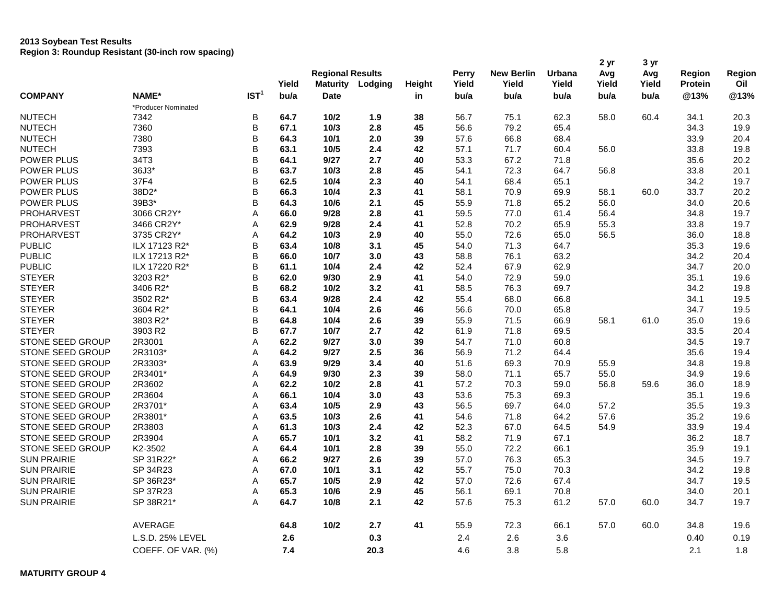|                                |                     | IST <sup>1</sup> | Yield        | <b>Regional Results</b><br><b>Maturity</b> | Lodging | Height   | Perry<br>Yield | <b>New Berlin</b><br>Yield | Urbana<br>Yield | 2 yr<br>Avg<br>Yield | 3 yr<br>Avg<br>Yield | Region<br><b>Protein</b> | Region<br>Oil |
|--------------------------------|---------------------|------------------|--------------|--------------------------------------------|---------|----------|----------------|----------------------------|-----------------|----------------------|----------------------|--------------------------|---------------|
| <b>COMPANY</b>                 | NAME*               |                  | bu/a         | <b>Date</b>                                |         | in       | bu/a           | bu/a                       | bu/a            | bu/a                 | bu/a                 | @13%                     | @13%          |
|                                | *Producer Nominated |                  |              |                                            |         |          |                |                            |                 |                      |                      |                          |               |
| <b>NUTECH</b><br><b>NUTECH</b> | 7342                | B                | 64.7<br>67.1 | 10/2<br>10/3                               | 1.9     | 38<br>45 | 56.7<br>56.6   | 75.1                       | 62.3            | 58.0                 | 60.4                 | 34.1                     | 20.3<br>19.9  |
|                                | 7360                | В<br>B           |              |                                            | 2.8     |          |                | 79.2<br>66.8               | 65.4            |                      |                      | 34.3                     | 20.4          |
| <b>NUTECH</b>                  | 7380                |                  | 64.3         | 10/1                                       | 2.0     | 39       | 57.6           |                            | 68.4            |                      |                      | 33.9                     |               |
| <b>NUTECH</b>                  | 7393                | B                | 63.1         | 10/5                                       | 2.4     | 42       | 57.1           | 71.7                       | 60.4            | 56.0                 |                      | 33.8                     | 19.8          |
| POWER PLUS                     | 34T3                | B                | 64.1         | 9/27                                       | 2.7     | 40       | 53.3           | 67.2                       | 71.8            |                      |                      | 35.6                     | 20.2          |
| POWER PLUS                     | 36J3*               | B                | 63.7         | 10/3                                       | 2.8     | 45       | 54.1           | 72.3                       | 64.7            | 56.8                 |                      | 33.8                     | 20.1          |
| POWER PLUS                     | 37F4                | B                | 62.5         | 10/4                                       | 2.3     | 40       | 54.1           | 68.4                       | 65.1            |                      |                      | 34.2                     | 19.7          |
| POWER PLUS                     | 38D2*               | B                | 66.3         | 10/4                                       | 2.3     | 41       | 58.1           | 70.9                       | 69.9            | 58.1                 | 60.0                 | 33.7                     | 20.2          |
| POWER PLUS                     | 39B3*               | B                | 64.3         | 10/6                                       | 2.1     | 45       | 55.9           | 71.8                       | 65.2            | 56.0                 |                      | 34.0                     | 20.6          |
| <b>PROHARVEST</b>              | 3066 CR2Y*          | Α                | 66.0         | 9/28                                       | 2.8     | 41       | 59.5           | 77.0                       | 61.4            | 56.4                 |                      | 34.8                     | 19.7          |
| <b>PROHARVEST</b>              | 3466 CR2Y*          | A                | 62.9         | 9/28                                       | 2.4     | 41       | 52.8           | 70.2                       | 65.9            | 55.3                 |                      | 33.8                     | 19.7          |
| PROHARVEST                     | 3735 CR2Y*          | Α                | 64.2         | 10/3                                       | 2.9     | 40       | 55.0           | 72.6                       | 65.0            | 56.5                 |                      | 36.0                     | 18.8          |
| <b>PUBLIC</b>                  | ILX 17123 R2*       | B                | 63.4         | 10/8                                       | 3.1     | 45       | 54.0           | 71.3                       | 64.7            |                      |                      | 35.3                     | 19.6          |
| <b>PUBLIC</b>                  | ILX 17213 R2*       | B                | 66.0         | 10/7                                       | 3.0     | 43       | 58.8           | 76.1                       | 63.2            |                      |                      | 34.2                     | 20.4          |
| <b>PUBLIC</b>                  | ILX 17220 R2*       | B                | 61.1         | 10/4                                       | 2.4     | 42       | 52.4           | 67.9                       | 62.9            |                      |                      | 34.7                     | 20.0          |
| <b>STEYER</b>                  | 3203 R2*            | B                | 62.0         | 9/30                                       | 2.9     | 41       | 54.0           | 72.9                       | 59.0            |                      |                      | 35.1                     | 19.6          |
| <b>STEYER</b>                  | 3406 R2*            | B                | 68.2         | 10/2                                       | 3.2     | 41       | 58.5           | 76.3                       | 69.7            |                      |                      | 34.2                     | 19.8          |
| <b>STEYER</b>                  | 3502 R2*            | B                | 63.4         | 9/28                                       | 2.4     | 42       | 55.4           | 68.0                       | 66.8            |                      |                      | 34.1                     | 19.5          |
| <b>STEYER</b>                  | 3604 R2*            | B                | 64.1         | 10/4                                       | 2.6     | 46       | 56.6           | 70.0                       | 65.8            |                      |                      | 34.7                     | 19.5          |
| <b>STEYER</b>                  | 3803 R2*            | B                | 64.8         | 10/4                                       | 2.6     | 39       | 55.9           | 71.5                       | 66.9            | 58.1                 | 61.0                 | 35.0                     | 19.6          |
| <b>STEYER</b>                  | 3903 R2             | B                | 67.7         | 10/7                                       | 2.7     | 42       | 61.9           | 71.8                       | 69.5            |                      |                      | 33.5                     | 20.4          |
| <b>STONE SEED GROUP</b>        | 2R3001              | A                | 62.2         | 9/27                                       | 3.0     | 39       | 54.7           | 71.0                       | 60.8            |                      |                      | 34.5                     | 19.7          |
| <b>STONE SEED GROUP</b>        | 2R3103*             | Α                | 64.2         | 9/27                                       | 2.5     | 36       | 56.9           | 71.2                       | 64.4            |                      |                      | 35.6                     | 19.4          |
| <b>STONE SEED GROUP</b>        | 2R3303*             | A                | 63.9         | 9/29                                       | 3.4     | 40       | 51.6           | 69.3                       | 70.9            | 55.9                 |                      | 34.8                     | 19.8          |
| STONE SEED GROUP               | 2R3401*             | Α                | 64.9         | 9/30                                       | 2.3     | 39       | 58.0           | 71.1                       | 65.7            | 55.0                 |                      | 34.9                     | 19.6          |
| <b>STONE SEED GROUP</b>        | 2R3602              | A                | 62.2         | 10/2                                       | 2.8     | 41       | 57.2           | 70.3                       | 59.0            | 56.8                 | 59.6                 | 36.0                     | 18.9          |
| STONE SEED GROUP               | 2R3604              | Α                | 66.1         | 10/4                                       | 3.0     | 43       | 53.6           | 75.3                       | 69.3            |                      |                      | 35.1                     | 19.6          |
| <b>STONE SEED GROUP</b>        | 2R3701*             | Α                | 63.4         | 10/5                                       | 2.9     | 43       | 56.5           | 69.7                       | 64.0            | 57.2                 |                      | 35.5                     | 19.3          |
| <b>STONE SEED GROUP</b>        | 2R3801*             | A                | 63.5         | 10/3                                       | 2.6     | 41       | 54.6           | 71.8                       | 64.2            | 57.6                 |                      | 35.2                     | 19.6          |
| STONE SEED GROUP               | 2R3803              | A                | 61.3         | 10/3                                       | 2.4     | 42       | 52.3           | 67.0                       | 64.5            | 54.9                 |                      | 33.9                     | 19.4          |
| STONE SEED GROUP               | 2R3904              | Α                | 65.7         | 10/1                                       | 3.2     | 41       | 58.2           | 71.9                       | 67.1            |                      |                      | 36.2                     | 18.7          |
| STONE SEED GROUP               | K2-3502             | Α                | 64.4         | 10/1                                       | 2.8     | 39       | 55.0           | 72.2                       | 66.1            |                      |                      | 35.9                     | 19.1          |
| <b>SUN PRAIRIE</b>             | SP 31R22*           | Α                | 66.2         | 9/27                                       | 2.6     | 39       | 57.0           | 76.3                       | 65.3            |                      |                      | 34.5                     | 19.7          |
| <b>SUN PRAIRIE</b>             | SP 34R23            | A                | 67.0         | 10/1                                       | 3.1     | 42       | 55.7           | 75.0                       | 70.3            |                      |                      | 34.2                     | 19.8          |
| <b>SUN PRAIRIE</b>             | SP 36R23*           | A                | 65.7         | 10/5                                       | 2.9     | 42       | 57.0           | 72.6                       | 67.4            |                      |                      | 34.7                     | 19.5          |
| <b>SUN PRAIRIE</b>             | SP 37R23            | Α                | 65.3         | 10/6                                       | 2.9     | 45       | 56.1           | 69.1                       | 70.8            |                      |                      | 34.0                     | 20.1          |
| <b>SUN PRAIRIE</b>             | SP 38R21*           | A                | 64.7         | 10/8                                       | 2.1     | 42       | 57.6           | 75.3                       | 61.2            | 57.0                 | 60.0                 | 34.7                     | 19.7          |
|                                | <b>AVERAGE</b>      |                  | 64.8         | 10/2                                       | 2.7     | 41       | 55.9           | 72.3                       | 66.1            | 57.0                 | 60.0                 | 34.8                     | 19.6          |
|                                | L.S.D. 25% LEVEL    |                  | 2.6          |                                            | 0.3     |          | 2.4            | 2.6                        | 3.6             |                      |                      | 0.40                     | 0.19          |
|                                | COEFF. OF VAR. (%)  |                  | 7.4          |                                            | 20.3    |          | 4.6            | 3.8                        | 5.8             |                      |                      | 2.1                      | 1.8           |